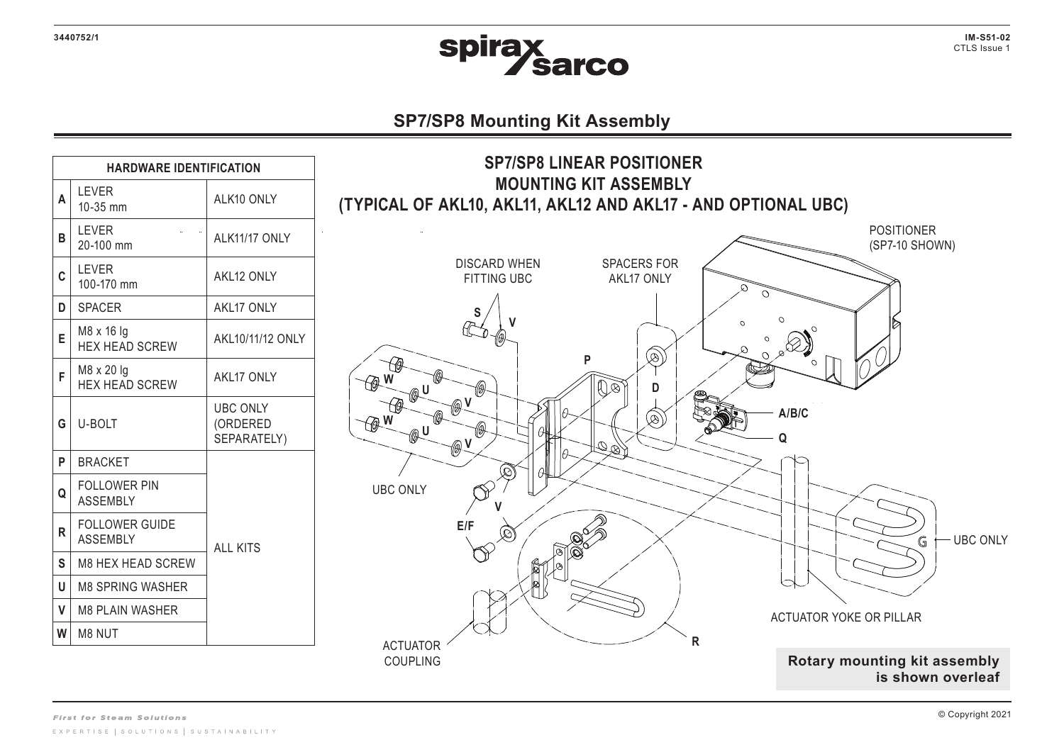

**IM-S51-02**  CTLS Issue 1

## **SP7/SP8 Mounting Kit Assembly**